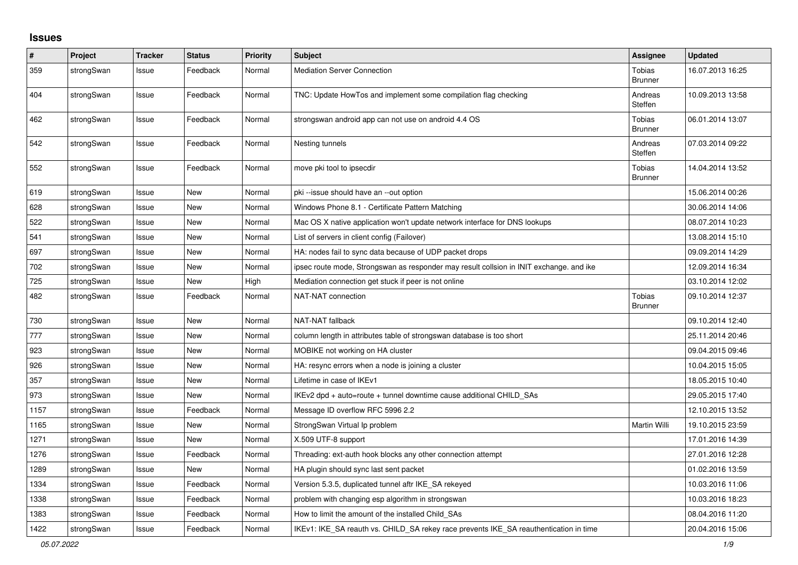## **Issues**

| #    | Project    | <b>Tracker</b> | <b>Status</b> | <b>Priority</b> | <b>Subject</b>                                                                          | Assignee                 | <b>Updated</b>   |
|------|------------|----------------|---------------|-----------------|-----------------------------------------------------------------------------------------|--------------------------|------------------|
| 359  | strongSwan | Issue          | Feedback      | Normal          | <b>Mediation Server Connection</b>                                                      | Tobias<br><b>Brunner</b> | 16.07.2013 16:25 |
| 404  | strongSwan | Issue          | Feedback      | Normal          | TNC: Update HowTos and implement some compilation flag checking                         | Andreas<br>Steffen       | 10.09.2013 13:58 |
| 462  | strongSwan | Issue          | Feedback      | Normal          | strongswan android app can not use on android 4.4 OS                                    | Tobias<br><b>Brunner</b> | 06.01.2014 13:07 |
| 542  | strongSwan | Issue          | Feedback      | Normal          | Nesting tunnels                                                                         | Andreas<br>Steffen       | 07.03.2014 09:22 |
| 552  | strongSwan | Issue          | Feedback      | Normal          | move pki tool to ipsecdir                                                               | Tobias<br><b>Brunner</b> | 14.04.2014 13:52 |
| 619  | strongSwan | Issue          | New           | Normal          | pki --issue should have an --out option                                                 |                          | 15.06.2014 00:26 |
| 628  | strongSwan | Issue          | New           | Normal          | Windows Phone 8.1 - Certificate Pattern Matching                                        |                          | 30.06.2014 14:06 |
| 522  | strongSwan | Issue          | <b>New</b>    | Normal          | Mac OS X native application won't update network interface for DNS lookups              |                          | 08.07.2014 10:23 |
| 541  | strongSwan | Issue          | <b>New</b>    | Normal          | List of servers in client config (Failover)                                             |                          | 13.08.2014 15:10 |
| 697  | strongSwan | Issue          | New           | Normal          | HA: nodes fail to sync data because of UDP packet drops                                 |                          | 09.09.2014 14:29 |
| 702  | strongSwan | Issue          | New           | Normal          | ipsec route mode, Strongswan as responder may result collsion in INIT exchange, and ike |                          | 12.09.2014 16:34 |
| 725  | strongSwan | Issue          | New           | High            | Mediation connection get stuck if peer is not online                                    |                          | 03.10.2014 12:02 |
| 482  | strongSwan | Issue          | Feedback      | Normal          | NAT-NAT connection                                                                      | Tobias<br><b>Brunner</b> | 09.10.2014 12:37 |
| 730  | strongSwan | Issue          | <b>New</b>    | Normal          | NAT-NAT fallback                                                                        |                          | 09.10.2014 12:40 |
| 777  | strongSwan | Issue          | New           | Normal          | column length in attributes table of strongswan database is too short                   |                          | 25.11.2014 20:46 |
| 923  | strongSwan | Issue          | New           | Normal          | MOBIKE not working on HA cluster                                                        |                          | 09.04.2015 09:46 |
| 926  | strongSwan | Issue          | <b>New</b>    | Normal          | HA: resync errors when a node is joining a cluster                                      |                          | 10.04.2015 15:05 |
| 357  | strongSwan | Issue          | <b>New</b>    | Normal          | Lifetime in case of IKEv1                                                               |                          | 18.05.2015 10:40 |
| 973  | strongSwan | Issue          | New           | Normal          | IKEv2 dpd + auto=route + tunnel downtime cause additional CHILD_SAs                     |                          | 29.05.2015 17:40 |
| 1157 | strongSwan | Issue          | Feedback      | Normal          | Message ID overflow RFC 5996 2.2                                                        |                          | 12.10.2015 13:52 |
| 1165 | strongSwan | Issue          | New           | Normal          | StrongSwan Virtual Ip problem                                                           | Martin Willi             | 19.10.2015 23:59 |
| 1271 | strongSwan | Issue          | New           | Normal          | X.509 UTF-8 support                                                                     |                          | 17.01.2016 14:39 |
| 1276 | strongSwan | Issue          | Feedback      | Normal          | Threading: ext-auth hook blocks any other connection attempt                            |                          | 27.01.2016 12:28 |
| 1289 | strongSwan | Issue          | <b>New</b>    | Normal          | HA plugin should sync last sent packet                                                  |                          | 01.02.2016 13:59 |
| 1334 | strongSwan | Issue          | Feedback      | Normal          | Version 5.3.5, duplicated tunnel aftr IKE_SA rekeyed                                    |                          | 10.03.2016 11:06 |
| 1338 | strongSwan | Issue          | Feedback      | Normal          | problem with changing esp algorithm in strongswan                                       |                          | 10.03.2016 18:23 |
| 1383 | strongSwan | Issue          | Feedback      | Normal          | How to limit the amount of the installed Child_SAs                                      |                          | 08.04.2016 11:20 |
| 1422 | strongSwan | Issue          | Feedback      | Normal          | IKEv1: IKE_SA reauth vs. CHILD_SA rekey race prevents IKE_SA reauthentication in time   |                          | 20.04.2016 15:06 |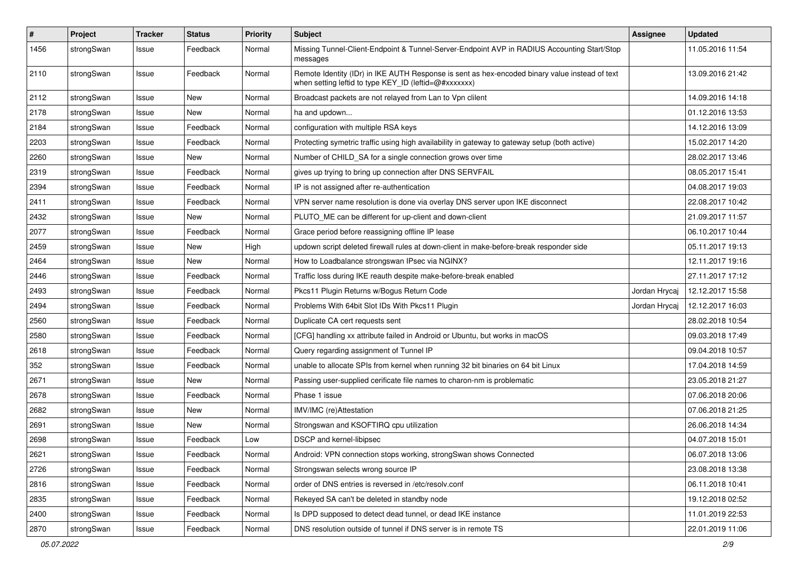| $\pmb{\#}$ | Project    | <b>Tracker</b> | <b>Status</b> | <b>Priority</b> | <b>Subject</b>                                                                                                                                          | <b>Assignee</b> | <b>Updated</b>   |
|------------|------------|----------------|---------------|-----------------|---------------------------------------------------------------------------------------------------------------------------------------------------------|-----------------|------------------|
| 1456       | strongSwan | Issue          | Feedback      | Normal          | Missing Tunnel-Client-Endpoint & Tunnel-Server-Endpoint AVP in RADIUS Accounting Start/Stop<br>messages                                                 |                 | 11.05.2016 11:54 |
| 2110       | strongSwan | Issue          | Feedback      | Normal          | Remote Identity (IDr) in IKE AUTH Response is sent as hex-encoded binary value instead of text<br>when setting leftid to type KEY_ID (leftid=@#xxxxxxx) |                 | 13.09.2016 21:42 |
| 2112       | strongSwan | Issue          | <b>New</b>    | Normal          | Broadcast packets are not relayed from Lan to Vpn clilent                                                                                               |                 | 14.09.2016 14:18 |
| 2178       | strongSwan | Issue          | New           | Normal          | ha and updown                                                                                                                                           |                 | 01.12.2016 13:53 |
| 2184       | strongSwan | Issue          | Feedback      | Normal          | configuration with multiple RSA keys                                                                                                                    |                 | 14.12.2016 13:09 |
| 2203       | strongSwan | Issue          | Feedback      | Normal          | Protecting symetric traffic using high availability in gateway to gateway setup (both active)                                                           |                 | 15.02.2017 14:20 |
| 2260       | strongSwan | Issue          | <b>New</b>    | Normal          | Number of CHILD_SA for a single connection grows over time                                                                                              |                 | 28.02.2017 13:46 |
| 2319       | strongSwan | Issue          | Feedback      | Normal          | gives up trying to bring up connection after DNS SERVFAIL                                                                                               |                 | 08.05.2017 15:41 |
| 2394       | strongSwan | Issue          | Feedback      | Normal          | IP is not assigned after re-authentication                                                                                                              |                 | 04.08.2017 19:03 |
| 2411       | strongSwan | Issue          | Feedback      | Normal          | VPN server name resolution is done via overlay DNS server upon IKE disconnect                                                                           |                 | 22.08.2017 10:42 |
| 2432       | strongSwan | Issue          | New           | Normal          | PLUTO_ME can be different for up-client and down-client                                                                                                 |                 | 21.09.2017 11:57 |
| 2077       | strongSwan | Issue          | Feedback      | Normal          | Grace period before reassigning offline IP lease                                                                                                        |                 | 06.10.2017 10:44 |
| 2459       | strongSwan | Issue          | <b>New</b>    | High            | updown script deleted firewall rules at down-client in make-before-break responder side                                                                 |                 | 05.11.2017 19:13 |
| 2464       | strongSwan | Issue          | New           | Normal          | How to Loadbalance strongswan IPsec via NGINX?                                                                                                          |                 | 12.11.2017 19:16 |
| 2446       | strongSwan | Issue          | Feedback      | Normal          | Traffic loss during IKE reauth despite make-before-break enabled                                                                                        |                 | 27.11.2017 17:12 |
| 2493       | strongSwan | Issue          | Feedback      | Normal          | Pkcs11 Plugin Returns w/Bogus Return Code                                                                                                               | Jordan Hrycaj   | 12.12.2017 15:58 |
| 2494       | strongSwan | Issue          | Feedback      | Normal          | Problems With 64bit Slot IDs With Pkcs11 Plugin                                                                                                         | Jordan Hrycaj   | 12.12.2017 16:03 |
| 2560       | strongSwan | Issue          | Feedback      | Normal          | Duplicate CA cert requests sent                                                                                                                         |                 | 28.02.2018 10:54 |
| 2580       | strongSwan | Issue          | Feedback      | Normal          | [CFG] handling xx attribute failed in Android or Ubuntu, but works in macOS                                                                             |                 | 09.03.2018 17:49 |
| 2618       | strongSwan | lssue          | Feedback      | Normal          | Query regarding assignment of Tunnel IP                                                                                                                 |                 | 09.04.2018 10:57 |
| 352        | strongSwan | lssue          | Feedback      | Normal          | unable to allocate SPIs from kernel when running 32 bit binaries on 64 bit Linux                                                                        |                 | 17.04.2018 14:59 |
| 2671       | strongSwan | Issue          | New           | Normal          | Passing user-supplied cerificate file names to charon-nm is problematic                                                                                 |                 | 23.05.2018 21:27 |
| 2678       | strongSwan | lssue          | Feedback      | Normal          | Phase 1 issue                                                                                                                                           |                 | 07.06.2018 20:06 |
| 2682       | strongSwan | Issue          | <b>New</b>    | Normal          | IMV/IMC (re)Attestation                                                                                                                                 |                 | 07.06.2018 21:25 |
| 2691       | strongSwan | lssue          | <b>New</b>    | Normal          | Strongswan and KSOFTIRQ cpu utilization                                                                                                                 |                 | 26.06.2018 14:34 |
| 2698       | strongSwan | Issue          | Feedback      | Low             | DSCP and kernel-libipsec                                                                                                                                |                 | 04.07.2018 15:01 |
| 2621       | strongSwan | Issue          | Feedback      | Normal          | Android: VPN connection stops working, strongSwan shows Connected                                                                                       |                 | 06.07.2018 13:06 |
| 2726       | strongSwan | Issue          | Feedback      | Normal          | Strongswan selects wrong source IP                                                                                                                      |                 | 23.08.2018 13:38 |
| 2816       | strongSwan | Issue          | Feedback      | Normal          | order of DNS entries is reversed in /etc/resolv.conf                                                                                                    |                 | 06.11.2018 10:41 |
| 2835       | strongSwan | Issue          | Feedback      | Normal          | Rekeyed SA can't be deleted in standby node                                                                                                             |                 | 19.12.2018 02:52 |
| 2400       | strongSwan | Issue          | Feedback      | Normal          | Is DPD supposed to detect dead tunnel, or dead IKE instance                                                                                             |                 | 11.01.2019 22:53 |
| 2870       | strongSwan | Issue          | Feedback      | Normal          | DNS resolution outside of tunnel if DNS server is in remote TS                                                                                          |                 | 22.01.2019 11:06 |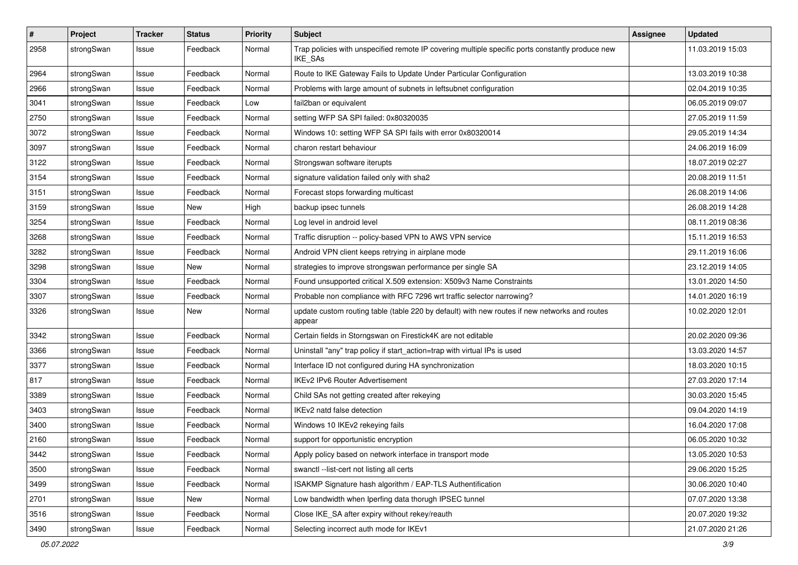| $\pmb{\#}$ | Project    | <b>Tracker</b> | <b>Status</b> | <b>Priority</b> | <b>Subject</b>                                                                                              | Assignee | <b>Updated</b>   |
|------------|------------|----------------|---------------|-----------------|-------------------------------------------------------------------------------------------------------------|----------|------------------|
| 2958       | strongSwan | Issue          | Feedback      | Normal          | Trap policies with unspecified remote IP covering multiple specific ports constantly produce new<br>IKE_SAs |          | 11.03.2019 15:03 |
| 2964       | strongSwan | Issue          | Feedback      | Normal          | Route to IKE Gateway Fails to Update Under Particular Configuration                                         |          | 13.03.2019 10:38 |
| 2966       | strongSwan | Issue          | Feedback      | Normal          | Problems with large amount of subnets in leftsubnet configuration                                           |          | 02.04.2019 10:35 |
| 3041       | strongSwan | Issue          | Feedback      | Low             | fail2ban or equivalent                                                                                      |          | 06.05.2019 09:07 |
| 2750       | strongSwan | Issue          | Feedback      | Normal          | setting WFP SA SPI failed: 0x80320035                                                                       |          | 27.05.2019 11:59 |
| 3072       | strongSwan | Issue          | Feedback      | Normal          | Windows 10: setting WFP SA SPI fails with error 0x80320014                                                  |          | 29.05.2019 14:34 |
| 3097       | strongSwan | Issue          | Feedback      | Normal          | charon restart behaviour                                                                                    |          | 24.06.2019 16:09 |
| 3122       | strongSwan | lssue          | Feedback      | Normal          | Strongswan software iterupts                                                                                |          | 18.07.2019 02:27 |
| 3154       | strongSwan | Issue          | Feedback      | Normal          | signature validation failed only with sha2                                                                  |          | 20.08.2019 11:51 |
| 3151       | strongSwan | Issue          | Feedback      | Normal          | Forecast stops forwarding multicast                                                                         |          | 26.08.2019 14:06 |
| 3159       | strongSwan | Issue          | New           | High            | backup ipsec tunnels                                                                                        |          | 26.08.2019 14:28 |
| 3254       | strongSwan | Issue          | Feedback      | Normal          | Log level in android level                                                                                  |          | 08.11.2019 08:36 |
| 3268       | strongSwan | Issue          | Feedback      | Normal          | Traffic disruption -- policy-based VPN to AWS VPN service                                                   |          | 15.11.2019 16:53 |
| 3282       | strongSwan | Issue          | Feedback      | Normal          | Android VPN client keeps retrying in airplane mode                                                          |          | 29.11.2019 16:06 |
| 3298       | strongSwan | Issue          | New           | Normal          | strategies to improve strongswan performance per single SA                                                  |          | 23.12.2019 14:05 |
| 3304       | strongSwan | Issue          | Feedback      | Normal          | Found unsupported critical X.509 extension: X509v3 Name Constraints                                         |          | 13.01.2020 14:50 |
| 3307       | strongSwan | Issue          | Feedback      | Normal          | Probable non compliance with RFC 7296 wrt traffic selector narrowing?                                       |          | 14.01.2020 16:19 |
| 3326       | strongSwan | Issue          | New           | Normal          | update custom routing table (table 220 by default) with new routes if new networks and routes<br>appear     |          | 10.02.2020 12:01 |
| 3342       | strongSwan | Issue          | Feedback      | Normal          | Certain fields in Storngswan on Firestick4K are not editable                                                |          | 20.02.2020 09:36 |
| 3366       | strongSwan | Issue          | Feedback      | Normal          | Uninstall "any" trap policy if start_action=trap with virtual IPs is used                                   |          | 13.03.2020 14:57 |
| 3377       | strongSwan | Issue          | Feedback      | Normal          | Interface ID not configured during HA synchronization                                                       |          | 18.03.2020 10:15 |
| 817        | strongSwan | Issue          | Feedback      | Normal          | <b>IKEv2 IPv6 Router Advertisement</b>                                                                      |          | 27.03.2020 17:14 |
| 3389       | strongSwan | Issue          | Feedback      | Normal          | Child SAs not getting created after rekeying                                                                |          | 30.03.2020 15:45 |
| 3403       | strongSwan | Issue          | Feedback      | Normal          | IKEv2 natd false detection                                                                                  |          | 09.04.2020 14:19 |
| 3400       | strongSwan | Issue          | Feedback      | Normal          | Windows 10 IKEv2 rekeying fails                                                                             |          | 16.04.2020 17:08 |
| 2160       | strongSwan | Issue          | Feedback      | Normal          | support for opportunistic encryption                                                                        |          | 06.05.2020 10:32 |
| 3442       | strongSwan | Issue          | Feedback      | Normal          | Apply policy based on network interface in transport mode                                                   |          | 13.05.2020 10:53 |
| 3500       | strongSwan | Issue          | Feedback      | Normal          | swanctl --list-cert not listing all certs                                                                   |          | 29.06.2020 15:25 |
| 3499       | strongSwan | Issue          | Feedback      | Normal          | ISAKMP Signature hash algorithm / EAP-TLS Authentification                                                  |          | 30.06.2020 10:40 |
| 2701       | strongSwan | Issue          | New           | Normal          | Low bandwidth when Iperfing data thorugh IPSEC tunnel                                                       |          | 07.07.2020 13:38 |
| 3516       | strongSwan | Issue          | Feedback      | Normal          | Close IKE_SA after expiry without rekey/reauth                                                              |          | 20.07.2020 19:32 |
| 3490       | strongSwan | Issue          | Feedback      | Normal          | Selecting incorrect auth mode for IKEv1                                                                     |          | 21.07.2020 21:26 |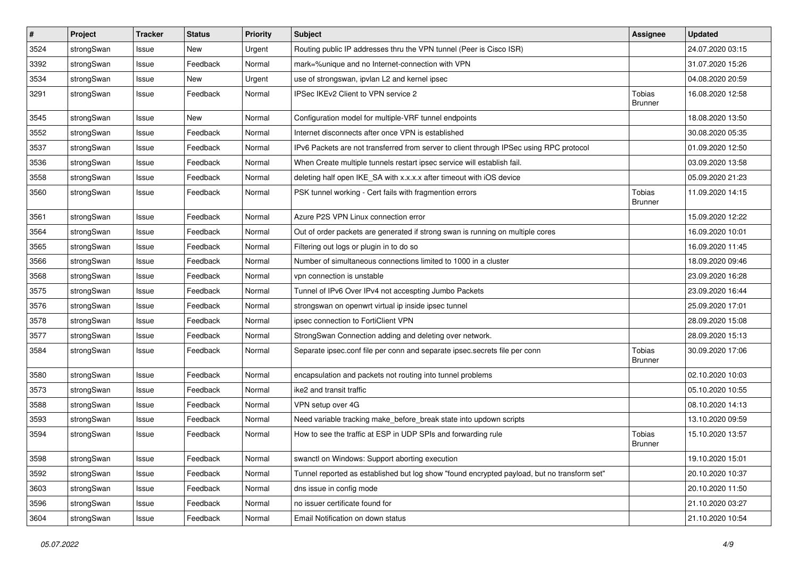| $\vert$ # | Project    | <b>Tracker</b> | <b>Status</b> | <b>Priority</b> | Subject                                                                                     | <b>Assignee</b>                 | <b>Updated</b>   |
|-----------|------------|----------------|---------------|-----------------|---------------------------------------------------------------------------------------------|---------------------------------|------------------|
| 3524      | strongSwan | Issue          | New           | Urgent          | Routing public IP addresses thru the VPN tunnel (Peer is Cisco ISR)                         |                                 | 24.07.2020 03:15 |
| 3392      | strongSwan | Issue          | Feedback      | Normal          | mark=%unique and no Internet-connection with VPN                                            |                                 | 31.07.2020 15:26 |
| 3534      | strongSwan | Issue          | New           | Urgent          | use of strongswan, ipvlan L2 and kernel ipsec                                               |                                 | 04.08.2020 20:59 |
| 3291      | strongSwan | Issue          | Feedback      | Normal          | IPSec IKEv2 Client to VPN service 2                                                         | Tobias<br><b>Brunner</b>        | 16.08.2020 12:58 |
| 3545      | strongSwan | Issue          | <b>New</b>    | Normal          | Configuration model for multiple-VRF tunnel endpoints                                       |                                 | 18.08.2020 13:50 |
| 3552      | strongSwan | Issue          | Feedback      | Normal          | Internet disconnects after once VPN is established                                          |                                 | 30.08.2020 05:35 |
| 3537      | strongSwan | Issue          | Feedback      | Normal          | IPv6 Packets are not transferred from server to client through IPSec using RPC protocol     |                                 | 01.09.2020 12:50 |
| 3536      | strongSwan | Issue          | Feedback      | Normal          | When Create multiple tunnels restart ipsec service will establish fail.                     |                                 | 03.09.2020 13:58 |
| 3558      | strongSwan | Issue          | Feedback      | Normal          | deleting half open IKE_SA with x.x.x.x after timeout with iOS device                        |                                 | 05.09.2020 21:23 |
| 3560      | strongSwan | Issue          | Feedback      | Normal          | PSK tunnel working - Cert fails with fragmention errors                                     | <b>Tobias</b><br><b>Brunner</b> | 11.09.2020 14:15 |
| 3561      | strongSwan | Issue          | Feedback      | Normal          | Azure P2S VPN Linux connection error                                                        |                                 | 15.09.2020 12:22 |
| 3564      | strongSwan | Issue          | Feedback      | Normal          | Out of order packets are generated if strong swan is running on multiple cores              |                                 | 16.09.2020 10:01 |
| 3565      | strongSwan | Issue          | Feedback      | Normal          | Filtering out logs or plugin in to do so                                                    |                                 | 16.09.2020 11:45 |
| 3566      | strongSwan | Issue          | Feedback      | Normal          | Number of simultaneous connections limited to 1000 in a cluster                             |                                 | 18.09.2020 09:46 |
| 3568      | strongSwan | Issue          | Feedback      | Normal          | vpn connection is unstable                                                                  |                                 | 23.09.2020 16:28 |
| 3575      | strongSwan | Issue          | Feedback      | Normal          | Tunnel of IPv6 Over IPv4 not accespting Jumbo Packets                                       |                                 | 23.09.2020 16:44 |
| 3576      | strongSwan | Issue          | Feedback      | Normal          | strongswan on openwrt virtual ip inside ipsec tunnel                                        |                                 | 25.09.2020 17:01 |
| 3578      | strongSwan | Issue          | Feedback      | Normal          | ipsec connection to FortiClient VPN                                                         |                                 | 28.09.2020 15:08 |
| 3577      | strongSwan | Issue          | Feedback      | Normal          | StrongSwan Connection adding and deleting over network.                                     |                                 | 28.09.2020 15:13 |
| 3584      | strongSwan | Issue          | Feedback      | Normal          | Separate ipsec.conf file per conn and separate ipsec.secrets file per conn                  | Tobias<br><b>Brunner</b>        | 30.09.2020 17:06 |
| 3580      | strongSwan | Issue          | Feedback      | Normal          | encapsulation and packets not routing into tunnel problems                                  |                                 | 02.10.2020 10:03 |
| 3573      | strongSwan | Issue          | Feedback      | Normal          | ike2 and transit traffic                                                                    |                                 | 05.10.2020 10:55 |
| 3588      | strongSwan | Issue          | Feedback      | Normal          | VPN setup over 4G                                                                           |                                 | 08.10.2020 14:13 |
| 3593      | strongSwan | Issue          | Feedback      | Normal          | Need variable tracking make_before_break state into updown scripts                          |                                 | 13.10.2020 09:59 |
| 3594      | strongSwan | Issue          | Feedback      | Normal          | How to see the traffic at ESP in UDP SPIs and forwarding rule                               | Tobias<br><b>Brunner</b>        | 15.10.2020 13:57 |
| 3598      | strongSwan | Issue          | Feedback      | Normal          | swanctl on Windows: Support aborting execution                                              |                                 | 19.10.2020 15:01 |
| 3592      | strongSwan | Issue          | Feedback      | Normal          | Tunnel reported as established but log show "found encrypted payload, but no transform set" |                                 | 20.10.2020 10:37 |
| 3603      | strongSwan | Issue          | Feedback      | Normal          | dns issue in config mode                                                                    |                                 | 20.10.2020 11:50 |
| 3596      | strongSwan | Issue          | Feedback      | Normal          | no issuer certificate found for                                                             |                                 | 21.10.2020 03:27 |
| 3604      | strongSwan | Issue          | Feedback      | Normal          | Email Notification on down status                                                           |                                 | 21.10.2020 10:54 |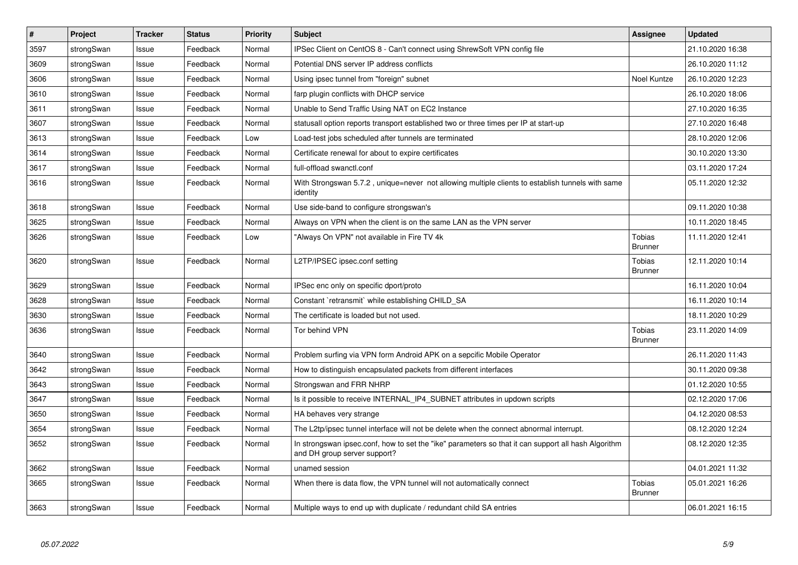| $\pmb{\#}$ | Project    | <b>Tracker</b> | <b>Status</b> | Priority | <b>Subject</b>                                                                                                                      | <b>Assignee</b>                 | <b>Updated</b>   |
|------------|------------|----------------|---------------|----------|-------------------------------------------------------------------------------------------------------------------------------------|---------------------------------|------------------|
| 3597       | strongSwan | Issue          | Feedback      | Normal   | IPSec Client on CentOS 8 - Can't connect using ShrewSoft VPN config file                                                            |                                 | 21.10.2020 16:38 |
| 3609       | strongSwan | Issue          | Feedback      | Normal   | Potential DNS server IP address conflicts                                                                                           |                                 | 26.10.2020 11:12 |
| 3606       | strongSwan | Issue          | Feedback      | Normal   | Using ipsec tunnel from "foreign" subnet                                                                                            | Noel Kuntze                     | 26.10.2020 12:23 |
| 3610       | strongSwan | Issue          | Feedback      | Normal   | farp plugin conflicts with DHCP service                                                                                             |                                 | 26.10.2020 18:06 |
| 3611       | strongSwan | Issue          | Feedback      | Normal   | Unable to Send Traffic Using NAT on EC2 Instance                                                                                    |                                 | 27.10.2020 16:35 |
| 3607       | strongSwan | Issue          | Feedback      | Normal   | statusall option reports transport established two or three times per IP at start-up                                                |                                 | 27.10.2020 16:48 |
| 3613       | strongSwan | Issue          | Feedback      | Low      | Load-test jobs scheduled after tunnels are terminated                                                                               |                                 | 28.10.2020 12:06 |
| 3614       | strongSwan | Issue          | Feedback      | Normal   | Certificate renewal for about to expire certificates                                                                                |                                 | 30.10.2020 13:30 |
| 3617       | strongSwan | Issue          | Feedback      | Normal   | full-offload swanctl.conf                                                                                                           |                                 | 03.11.2020 17:24 |
| 3616       | strongSwan | Issue          | Feedback      | Normal   | With Strongswan 5.7.2, unique=never not allowing multiple clients to establish tunnels with same<br>identity                        |                                 | 05.11.2020 12:32 |
| 3618       | strongSwan | Issue          | Feedback      | Normal   | Use side-band to configure strongswan's                                                                                             |                                 | 09.11.2020 10:38 |
| 3625       | strongSwan | Issue          | Feedback      | Normal   | Always on VPN when the client is on the same LAN as the VPN server                                                                  |                                 | 10.11.2020 18:45 |
| 3626       | strongSwan | Issue          | Feedback      | Low      | "Always On VPN" not available in Fire TV 4k                                                                                         | <b>Tobias</b><br><b>Brunner</b> | 11.11.2020 12:41 |
| 3620       | strongSwan | Issue          | Feedback      | Normal   | L2TP/IPSEC ipsec.conf setting                                                                                                       | Tobias<br><b>Brunner</b>        | 12.11.2020 10:14 |
| 3629       | strongSwan | Issue          | Feedback      | Normal   | IPSec enc only on specific dport/proto                                                                                              |                                 | 16.11.2020 10:04 |
| 3628       | strongSwan | Issue          | Feedback      | Normal   | Constant `retransmit` while establishing CHILD_SA                                                                                   |                                 | 16.11.2020 10:14 |
| 3630       | strongSwan | Issue          | Feedback      | Normal   | The certificate is loaded but not used.                                                                                             |                                 | 18.11.2020 10:29 |
| 3636       | strongSwan | Issue          | Feedback      | Normal   | Tor behind VPN                                                                                                                      | <b>Tobias</b><br><b>Brunner</b> | 23.11.2020 14:09 |
| 3640       | strongSwan | Issue          | Feedback      | Normal   | Problem surfing via VPN form Android APK on a sepcific Mobile Operator                                                              |                                 | 26.11.2020 11:43 |
| 3642       | strongSwan | Issue          | Feedback      | Normal   | How to distinguish encapsulated packets from different interfaces                                                                   |                                 | 30.11.2020 09:38 |
| 3643       | strongSwan | Issue          | Feedback      | Normal   | Strongswan and FRR NHRP                                                                                                             |                                 | 01.12.2020 10:55 |
| 3647       | strongSwan | Issue          | Feedback      | Normal   | Is it possible to receive INTERNAL IP4 SUBNET attributes in updown scripts                                                          |                                 | 02.12.2020 17:06 |
| 3650       | strongSwan | Issue          | Feedback      | Normal   | HA behaves very strange                                                                                                             |                                 | 04.12.2020 08:53 |
| 3654       | strongSwan | Issue          | Feedback      | Normal   | The L2tp/ipsec tunnel interface will not be delete when the connect abnormal interrupt.                                             |                                 | 08.12.2020 12:24 |
| 3652       | strongSwan | Issue          | Feedback      | Normal   | In strongswan ipsec.conf, how to set the "ike" parameters so that it can support all hash Algorithm<br>and DH group server support? |                                 | 08.12.2020 12:35 |
| 3662       | strongSwan | Issue          | Feedback      | Normal   | unamed session                                                                                                                      |                                 | 04.01.2021 11:32 |
| 3665       | strongSwan | Issue          | Feedback      | Normal   | When there is data flow, the VPN tunnel will not automatically connect                                                              | Tobias<br><b>Brunner</b>        | 05.01.2021 16:26 |
| 3663       | strongSwan | Issue          | Feedback      | Normal   | Multiple ways to end up with duplicate / redundant child SA entries                                                                 |                                 | 06.01.2021 16:15 |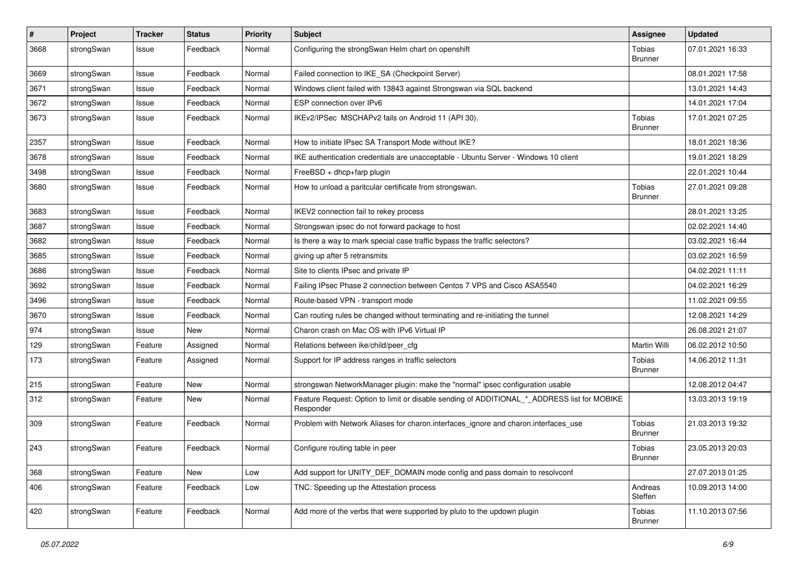| $\pmb{\#}$ | Project    | <b>Tracker</b> | <b>Status</b> | <b>Priority</b> | <b>Subject</b>                                                                                           | <b>Assignee</b>                 | <b>Updated</b>   |
|------------|------------|----------------|---------------|-----------------|----------------------------------------------------------------------------------------------------------|---------------------------------|------------------|
| 3668       | strongSwan | Issue          | Feedback      | Normal          | Configuring the strongSwan Helm chart on openshift                                                       | Tobias<br><b>Brunner</b>        | 07.01.2021 16:33 |
| 3669       | strongSwan | Issue          | Feedback      | Normal          | Failed connection to IKE_SA (Checkpoint Server)                                                          |                                 | 08.01.2021 17:58 |
| 3671       | strongSwan | Issue          | Feedback      | Normal          | Windows client failed with 13843 against Strongswan via SQL backend                                      |                                 | 13.01.2021 14:43 |
| 3672       | strongSwan | Issue          | Feedback      | Normal          | ESP connection over IPv6                                                                                 |                                 | 14.01.2021 17:04 |
| 3673       | strongSwan | Issue          | Feedback      | Normal          | IKEv2/IPSec MSCHAPv2 fails on Android 11 (API 30).                                                       | <b>Tobias</b><br><b>Brunner</b> | 17.01.2021 07:25 |
| 2357       | strongSwan | Issue          | Feedback      | Normal          | How to initiate IPsec SA Transport Mode without IKE?                                                     |                                 | 18.01.2021 18:36 |
| 3678       | strongSwan | Issue          | Feedback      | Normal          | IKE authentication credentials are unacceptable - Ubuntu Server - Windows 10 client                      |                                 | 19.01.2021 18:29 |
| 3498       | strongSwan | Issue          | Feedback      | Normal          | FreeBSD + dhcp+farp plugin                                                                               |                                 | 22.01.2021 10:44 |
| 3680       | strongSwan | Issue          | Feedback      | Normal          | How to unload a paritcular certificate from strongswan.                                                  | <b>Tobias</b><br><b>Brunner</b> | 27.01.2021 09:28 |
| 3683       | strongSwan | Issue          | Feedback      | Normal          | IKEV2 connection fail to rekey process                                                                   |                                 | 28.01.2021 13:25 |
| 3687       | strongSwan | Issue          | Feedback      | Normal          | Strongswan ipsec do not forward package to host                                                          |                                 | 02.02.2021 14:40 |
| 3682       | strongSwan | Issue          | Feedback      | Normal          | Is there a way to mark special case traffic bypass the traffic selectors?                                |                                 | 03.02.2021 16:44 |
| 3685       | strongSwan | Issue          | Feedback      | Normal          | giving up after 5 retransmits                                                                            |                                 | 03.02.2021 16:59 |
| 3686       | strongSwan | Issue          | Feedback      | Normal          | Site to clients IPsec and private IP                                                                     |                                 | 04.02.2021 11:11 |
| 3692       | strongSwan | Issue          | Feedback      | Normal          | Failing IPsec Phase 2 connection between Centos 7 VPS and Cisco ASA5540                                  |                                 | 04.02.2021 16:29 |
| 3496       | strongSwan | Issue          | Feedback      | Normal          | Route-based VPN - transport mode                                                                         |                                 | 11.02.2021 09:55 |
| 3670       | strongSwan | Issue          | Feedback      | Normal          | Can routing rules be changed without terminating and re-initiating the tunnel                            |                                 | 12.08.2021 14:29 |
| 974        | strongSwan | Issue          | New           | Normal          | Charon crash on Mac OS with IPv6 Virtual IP                                                              |                                 | 26.08.2021 21:07 |
| 129        | strongSwan | Feature        | Assigned      | Normal          | Relations between ike/child/peer_cfg                                                                     | Martin Willi                    | 06.02.2012 10:50 |
| 173        | strongSwan | Feature        | Assigned      | Normal          | Support for IP address ranges in traffic selectors                                                       | <b>Tobias</b><br>Brunner        | 14.06.2012 11:31 |
| 215        | strongSwan | Feature        | New           | Normal          | strongswan NetworkManager plugin: make the "normal" ipsec configuration usable                           |                                 | 12.08.2012 04:47 |
| 312        | strongSwan | Feature        | New           | Normal          | Feature Request: Option to limit or disable sending of ADDITIONAL_*_ADDRESS list for MOBIKE<br>Responder |                                 | 13.03.2013 19:19 |
| 309        | strongSwan | Feature        | Feedback      | Normal          | Problem with Network Aliases for charon.interfaces_ignore and charon.interfaces_use                      | Tobias<br><b>Brunner</b>        | 21.03.2013 19:32 |
| 243        | strongSwan | Feature        | Feedback      | Normal          | Configure routing table in peer                                                                          | Tobias<br><b>Brunner</b>        | 23.05.2013 20:03 |
| 368        | strongSwan | Feature        | New           | Low             | Add support for UNITY_DEF_DOMAIN mode config and pass domain to resolvconf                               |                                 | 27.07.2013 01:25 |
| 406        | strongSwan | Feature        | Feedback      | Low             | TNC: Speeding up the Attestation process                                                                 | Andreas<br>Steffen              | 10.09.2013 14:00 |
| 420        | strongSwan | Feature        | Feedback      | Normal          | Add more of the verbs that were supported by pluto to the updown plugin                                  | Tobias<br><b>Brunner</b>        | 11.10.2013 07:56 |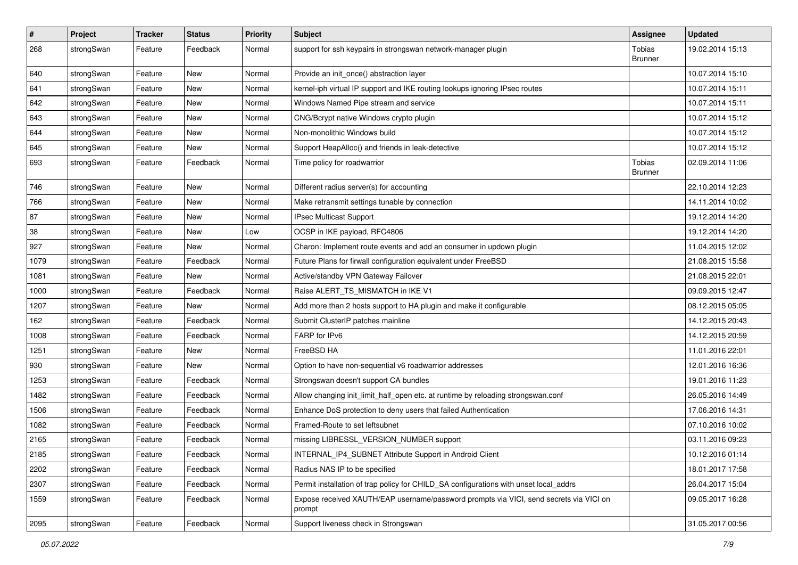| $\pmb{\#}$ | Project    | <b>Tracker</b> | <b>Status</b> | <b>Priority</b> | <b>Subject</b>                                                                                   | <b>Assignee</b>                 | <b>Updated</b>   |
|------------|------------|----------------|---------------|-----------------|--------------------------------------------------------------------------------------------------|---------------------------------|------------------|
| 268        | strongSwan | Feature        | Feedback      | Normal          | support for ssh keypairs in strongswan network-manager plugin                                    | Tobias<br><b>Brunner</b>        | 19.02.2014 15:13 |
| 640        | strongSwan | Feature        | New           | Normal          | Provide an init once() abstraction layer                                                         |                                 | 10.07.2014 15:10 |
| 641        | strongSwan | Feature        | New           | Normal          | kernel-iph virtual IP support and IKE routing lookups ignoring IPsec routes                      |                                 | 10.07.2014 15:11 |
| 642        | strongSwan | Feature        | New           | Normal          | Windows Named Pipe stream and service                                                            |                                 | 10.07.2014 15:11 |
| 643        | strongSwan | Feature        | New           | Normal          | CNG/Bcrypt native Windows crypto plugin                                                          |                                 | 10.07.2014 15:12 |
| 644        | strongSwan | Feature        | New           | Normal          | Non-monolithic Windows build                                                                     |                                 | 10.07.2014 15:12 |
| 645        | strongSwan | Feature        | New           | Normal          | Support HeapAlloc() and friends in leak-detective                                                |                                 | 10.07.2014 15:12 |
| 693        | strongSwan | Feature        | Feedback      | Normal          | Time policy for roadwarrior                                                                      | <b>Tobias</b><br><b>Brunner</b> | 02.09.2014 11:06 |
| 746        | strongSwan | Feature        | New           | Normal          | Different radius server(s) for accounting                                                        |                                 | 22.10.2014 12:23 |
| 766        | strongSwan | Feature        | New           | Normal          | Make retransmit settings tunable by connection                                                   |                                 | 14.11.2014 10:02 |
| 87         | strongSwan | Feature        | New           | Normal          | IPsec Multicast Support                                                                          |                                 | 19.12.2014 14:20 |
| 38         | strongSwan | Feature        | New           | Low             | OCSP in IKE payload, RFC4806                                                                     |                                 | 19.12.2014 14:20 |
| 927        | strongSwan | Feature        | New           | Normal          | Charon: Implement route events and add an consumer in updown plugin                              |                                 | 11.04.2015 12:02 |
| 1079       | strongSwan | Feature        | Feedback      | Normal          | Future Plans for firwall configuration equivalent under FreeBSD                                  |                                 | 21.08.2015 15:58 |
| 1081       | strongSwan | Feature        | New           | Normal          | Active/standby VPN Gateway Failover                                                              |                                 | 21.08.2015 22:01 |
| 1000       | strongSwan | Feature        | Feedback      | Normal          | Raise ALERT TS MISMATCH in IKE V1                                                                |                                 | 09.09.2015 12:47 |
| 1207       | strongSwan | Feature        | New           | Normal          | Add more than 2 hosts support to HA plugin and make it configurable                              |                                 | 08.12.2015 05:05 |
| 162        | strongSwan | Feature        | Feedback      | Normal          | Submit ClusterIP patches mainline                                                                |                                 | 14.12.2015 20:43 |
| 1008       | strongSwan | Feature        | Feedback      | Normal          | FARP for IPv6                                                                                    |                                 | 14.12.2015 20:59 |
| 1251       | strongSwan | Feature        | New           | Normal          | FreeBSD HA                                                                                       |                                 | 11.01.2016 22:01 |
| 930        | strongSwan | Feature        | New           | Normal          | Option to have non-sequential v6 roadwarrior addresses                                           |                                 | 12.01.2016 16:36 |
| 1253       | strongSwan | Feature        | Feedback      | Normal          | Strongswan doesn't support CA bundles                                                            |                                 | 19.01.2016 11:23 |
| 1482       | strongSwan | Feature        | Feedback      | Normal          | Allow changing init_limit_half_open etc. at runtime by reloading strongswan.conf                 |                                 | 26.05.2016 14:49 |
| 1506       | strongSwan | Feature        | Feedback      | Normal          | Enhance DoS protection to deny users that failed Authentication                                  |                                 | 17.06.2016 14:31 |
| 1082       | strongSwan | Feature        | Feedback      | Normal          | Framed-Route to set leftsubnet                                                                   |                                 | 07.10.2016 10:02 |
| 2165       | strongSwan | Feature        | Feedback      | Normal          | missing LIBRESSL_VERSION_NUMBER support                                                          |                                 | 03.11.2016 09:23 |
| 2185       | strongSwan | Feature        | Feedback      | Normal          | INTERNAL_IP4_SUBNET Attribute Support in Android Client                                          |                                 | 10.12.2016 01:14 |
| 2202       | strongSwan | Feature        | Feedback      | Normal          | Radius NAS IP to be specified                                                                    |                                 | 18.01.2017 17:58 |
| 2307       | strongSwan | Feature        | Feedback      | Normal          | Permit installation of trap policy for CHILD_SA configurations with unset local_addrs            |                                 | 26.04.2017 15:04 |
| 1559       | strongSwan | Feature        | Feedback      | Normal          | Expose received XAUTH/EAP username/password prompts via VICI, send secrets via VICI on<br>prompt |                                 | 09.05.2017 16:28 |
| 2095       | strongSwan | Feature        | Feedback      | Normal          | Support liveness check in Strongswan                                                             |                                 | 31.05.2017 00:56 |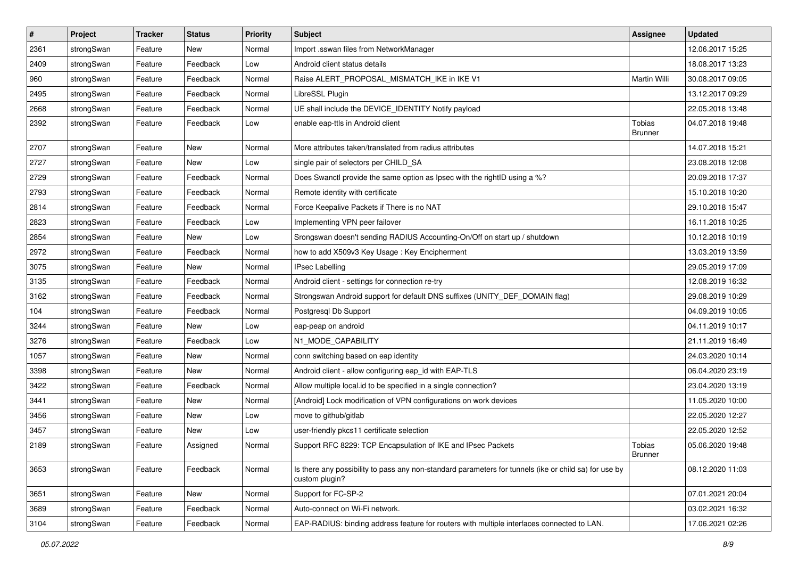| $\sharp$ | Project    | <b>Tracker</b> | <b>Status</b> | <b>Priority</b> | <b>Subject</b>                                                                                                          | <b>Assignee</b>          | <b>Updated</b>   |
|----------|------------|----------------|---------------|-----------------|-------------------------------------------------------------------------------------------------------------------------|--------------------------|------------------|
| 2361     | strongSwan | Feature        | New           | Normal          | Import .sswan files from NetworkManager                                                                                 |                          | 12.06.2017 15:25 |
| 2409     | strongSwan | Feature        | Feedback      | Low             | Android client status details                                                                                           |                          | 18.08.2017 13:23 |
| 960      | strongSwan | Feature        | Feedback      | Normal          | Raise ALERT_PROPOSAL_MISMATCH_IKE in IKE V1                                                                             | Martin Willi             | 30.08.2017 09:05 |
| 2495     | strongSwan | Feature        | Feedback      | Normal          | LibreSSL Plugin                                                                                                         |                          | 13.12.2017 09:29 |
| 2668     | strongSwan | Feature        | Feedback      | Normal          | UE shall include the DEVICE_IDENTITY Notify payload                                                                     |                          | 22.05.2018 13:48 |
| 2392     | strongSwan | Feature        | Feedback      | Low             | enable eap-ttls in Android client                                                                                       | Tobias<br><b>Brunner</b> | 04.07.2018 19:48 |
| 2707     | strongSwan | Feature        | <b>New</b>    | Normal          | More attributes taken/translated from radius attributes                                                                 |                          | 14.07.2018 15:21 |
| 2727     | strongSwan | Feature        | New           | Low             | single pair of selectors per CHILD_SA                                                                                   |                          | 23.08.2018 12:08 |
| 2729     | strongSwan | Feature        | Feedback      | Normal          | Does Swanctl provide the same option as Ipsec with the rightID using a %?                                               |                          | 20.09.2018 17:37 |
| 2793     | strongSwan | Feature        | Feedback      | Normal          | Remote identity with certificate                                                                                        |                          | 15.10.2018 10:20 |
| 2814     | strongSwan | Feature        | Feedback      | Normal          | Force Keepalive Packets if There is no NAT                                                                              |                          | 29.10.2018 15:47 |
| 2823     | strongSwan | Feature        | Feedback      | Low             | Implementing VPN peer failover                                                                                          |                          | 16.11.2018 10:25 |
| 2854     | strongSwan | Feature        | New           | Low             | Srongswan doesn't sending RADIUS Accounting-On/Off on start up / shutdown                                               |                          | 10.12.2018 10:19 |
| 2972     | strongSwan | Feature        | Feedback      | Normal          | how to add X509v3 Key Usage: Key Encipherment                                                                           |                          | 13.03.2019 13:59 |
| 3075     | strongSwan | Feature        | New           | Normal          | <b>IPsec Labelling</b>                                                                                                  |                          | 29.05.2019 17:09 |
| 3135     | strongSwan | Feature        | Feedback      | Normal          | Android client - settings for connection re-try                                                                         |                          | 12.08.2019 16:32 |
| 3162     | strongSwan | Feature        | Feedback      | Normal          | Strongswan Android support for default DNS suffixes (UNITY_DEF_DOMAIN flag)                                             |                          | 29.08.2019 10:29 |
| 104      | strongSwan | Feature        | Feedback      | Normal          | Postgresql Db Support                                                                                                   |                          | 04.09.2019 10:05 |
| 3244     | strongSwan | Feature        | <b>New</b>    | Low             | eap-peap on android                                                                                                     |                          | 04.11.2019 10:17 |
| 3276     | strongSwan | Feature        | Feedback      | Low             | N1_MODE_CAPABILITY                                                                                                      |                          | 21.11.2019 16:49 |
| 1057     | strongSwan | Feature        | New           | Normal          | conn switching based on eap identity                                                                                    |                          | 24.03.2020 10:14 |
| 3398     | strongSwan | Feature        | <b>New</b>    | Normal          | Android client - allow configuring eap_id with EAP-TLS                                                                  |                          | 06.04.2020 23:19 |
| 3422     | strongSwan | Feature        | Feedback      | Normal          | Allow multiple local.id to be specified in a single connection?                                                         |                          | 23.04.2020 13:19 |
| 3441     | strongSwan | Feature        | New           | Normal          | [Android] Lock modification of VPN configurations on work devices                                                       |                          | 11.05.2020 10:00 |
| 3456     | strongSwan | Feature        | New           | Low             | move to github/gitlab                                                                                                   |                          | 22.05.2020 12:27 |
| 3457     | strongSwan | Feature        | New           | Low             | user-friendly pkcs11 certificate selection                                                                              |                          | 22.05.2020 12:52 |
| 2189     | strongSwan | Feature        | Assigned      | Normal          | Support RFC 8229: TCP Encapsulation of IKE and IPsec Packets                                                            | Tobias<br><b>Brunner</b> | 05.06.2020 19:48 |
| 3653     | strongSwan | Feature        | Feedback      | Normal          | Is there any possibility to pass any non-standard parameters for tunnels (ike or child sa) for use by<br>custom plugin? |                          | 08.12.2020 11:03 |
| 3651     | strongSwan | Feature        | New           | Normal          | Support for FC-SP-2                                                                                                     |                          | 07.01.2021 20:04 |
| 3689     | strongSwan | Feature        | Feedback      | Normal          | Auto-connect on Wi-Fi network.                                                                                          |                          | 03.02.2021 16:32 |
| 3104     | strongSwan | Feature        | Feedback      | Normal          | EAP-RADIUS: binding address feature for routers with multiple interfaces connected to LAN.                              |                          | 17.06.2021 02:26 |